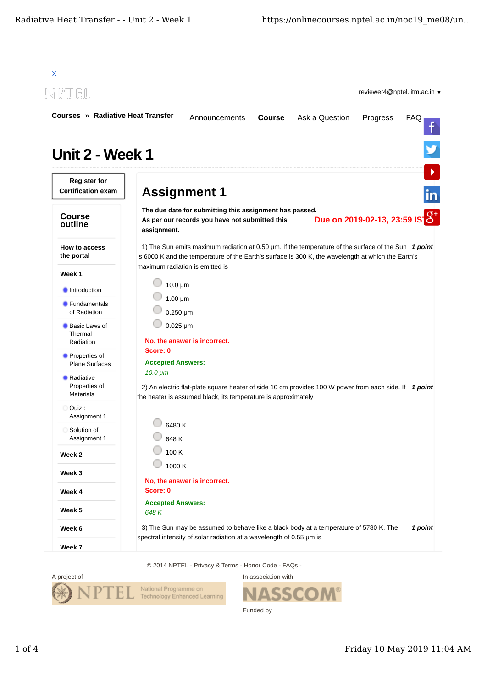

© 2014 NPTEL - Privacy & Terms - Honor Code - FAQs -



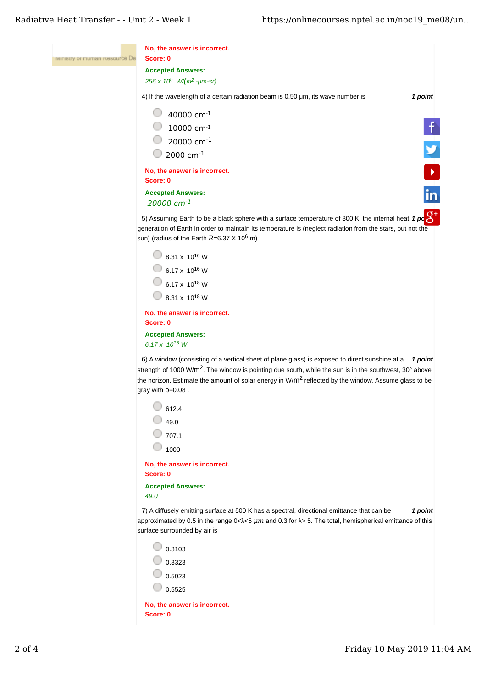| ministry or muman resource De | No, the answer is incorrect.<br>Score: 0                                                                                                                                                                                                                                                                                                                                 |  |
|-------------------------------|--------------------------------------------------------------------------------------------------------------------------------------------------------------------------------------------------------------------------------------------------------------------------------------------------------------------------------------------------------------------------|--|
|                               | <b>Accepted Answers:</b><br>256 x $10^5$ W/( $m^2$ -µm-sr)                                                                                                                                                                                                                                                                                                               |  |
|                               | 4) If the wavelength of a certain radiation beam is 0.50 µm, its wave number is<br>1 point                                                                                                                                                                                                                                                                               |  |
|                               | 40000 cm-1<br>$10000$ cm $^{-1}$<br>20000 cm <sup>-1</sup><br>$\Box$ 2000 cm <sup>-1</sup>                                                                                                                                                                                                                                                                               |  |
|                               | No, the answer is incorrect.<br>Score: 0                                                                                                                                                                                                                                                                                                                                 |  |
|                               | in<br><b>Accepted Answers:</b><br>20000 $cm^{-1}$                                                                                                                                                                                                                                                                                                                        |  |
|                               | 5) Assuming Earth to be a black sphere with a surface temperature of 300 K, the internal heat 1 pc $\mathrm{G}^+$<br>generation of Earth in order to maintain its temperature is (neglect radiation from the stars, but not the<br>sun) (radius of the Earth $R=6.37 \times 10^6$ m)                                                                                     |  |
|                               | $\bigcirc$ 8.31 x 10 <sup>16</sup> W<br>$6.17 \times 10^{16}$ W<br>$6.17 \times 10^{18}$ W<br>$8.31 \times 10^{18}$ W                                                                                                                                                                                                                                                    |  |
|                               | No, the answer is incorrect.<br>Score: 0                                                                                                                                                                                                                                                                                                                                 |  |
|                               | <b>Accepted Answers:</b><br>6.17 x 10 <sup>16</sup> W                                                                                                                                                                                                                                                                                                                    |  |
|                               | 6) A window (consisting of a vertical sheet of plane glass) is exposed to direct sunshine at a 1 point<br>strength of 1000 W/m <sup>2</sup> . The window is pointing due south, while the sun is in the southwest, 30° above<br>the horizon. Estimate the amount of solar energy in W/m <sup>2</sup> reflected by the window. Assume glass to be<br>gray with $p=0.08$ . |  |
|                               | 612.4                                                                                                                                                                                                                                                                                                                                                                    |  |
|                               | 49.0                                                                                                                                                                                                                                                                                                                                                                     |  |
|                               | 707.1                                                                                                                                                                                                                                                                                                                                                                    |  |
|                               | 1000<br>No, the answer is incorrect.                                                                                                                                                                                                                                                                                                                                     |  |
|                               | Score: 0                                                                                                                                                                                                                                                                                                                                                                 |  |
|                               | <b>Accepted Answers:</b><br>49.0                                                                                                                                                                                                                                                                                                                                         |  |
|                               | 7) A diffusely emitting surface at 500 K has a spectral, directional emittance that can be<br>1 point<br>approximated by 0.5 in the range $0<\lambda<5$ $\mu m$ and 0.3 for $\lambda>5$ . The total, hemispherical emittance of this<br>surface surrounded by air is                                                                                                     |  |
|                               | $\big  0.3103$                                                                                                                                                                                                                                                                                                                                                           |  |
|                               | $\vert$ 0.3323                                                                                                                                                                                                                                                                                                                                                           |  |
|                               | 0.5023                                                                                                                                                                                                                                                                                                                                                                   |  |
|                               | 0.5525                                                                                                                                                                                                                                                                                                                                                                   |  |
|                               | No, the answer is incorrect.                                                                                                                                                                                                                                                                                                                                             |  |

**Score: 0**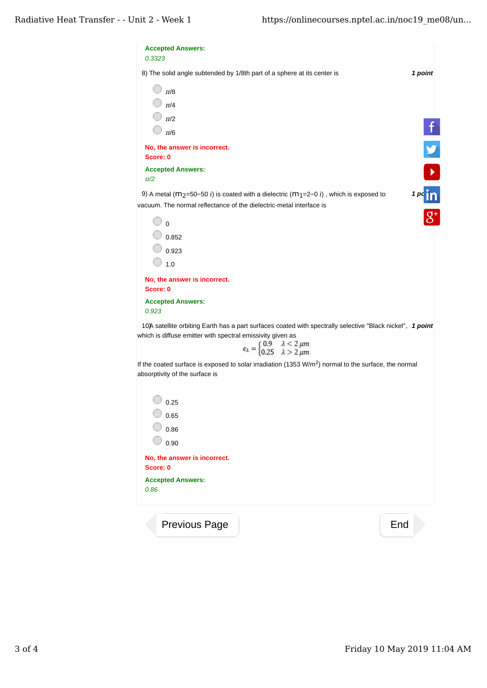| 8) The solid angle subtended by 1/8th part of a sphere at its center is                                                                                                                                                                                                             | 1 point |
|-------------------------------------------------------------------------------------------------------------------------------------------------------------------------------------------------------------------------------------------------------------------------------------|---------|
| $\pi/8$                                                                                                                                                                                                                                                                             |         |
| $\Box$ $\pi$ /4                                                                                                                                                                                                                                                                     |         |
| $\Box$ $\pi/2$                                                                                                                                                                                                                                                                      |         |
| $\pi/6$                                                                                                                                                                                                                                                                             |         |
| No, the answer is incorrect.<br>Score: 0                                                                                                                                                                                                                                            |         |
| <b>Accepted Answers:</b><br>$\pi/2$                                                                                                                                                                                                                                                 |         |
| 9) A metal ( $m_2$ =50-50 <i>i</i> ) is coated with a dielectric ( $m_1$ =2-0 <i>i</i> ), which is exposed to<br>vacuum. The normal reflectance of the dielectric-metal interface is                                                                                                | 1~pc    |
| $\circ$                                                                                                                                                                                                                                                                             |         |
| 0.852                                                                                                                                                                                                                                                                               |         |
| $\vert$ 0.923                                                                                                                                                                                                                                                                       |         |
| 1.0                                                                                                                                                                                                                                                                                 |         |
| No, the answer is incorrect.<br>Score: 0                                                                                                                                                                                                                                            |         |
| <b>Accepted Answers:</b><br>0.923                                                                                                                                                                                                                                                   |         |
| 10) Satellite orbiting Earth has a part surfaces coated with spectrally selective "Black nickel", 1 point<br>which is diffuse emitter with spectral emissivity given as<br>$\epsilon_{\lambda} = \begin{cases} 0.9 & \lambda < 2 \ \mu m \\ 0.25 & \lambda > 2 \ \mu m \end{cases}$ |         |
| If the coated surface is exposed to solar irradiation (1353 W/m <sup>2</sup> ) normal to the surface, the normal<br>absorptivity of the surface is                                                                                                                                  |         |
|                                                                                                                                                                                                                                                                                     |         |
| 0.25                                                                                                                                                                                                                                                                                |         |
|                                                                                                                                                                                                                                                                                     |         |
| 0.65                                                                                                                                                                                                                                                                                |         |
| 0.86                                                                                                                                                                                                                                                                                |         |
| 0.90<br>No, the answer is incorrect.                                                                                                                                                                                                                                                |         |
| Score: 0<br><b>Accepted Answers:</b>                                                                                                                                                                                                                                                |         |